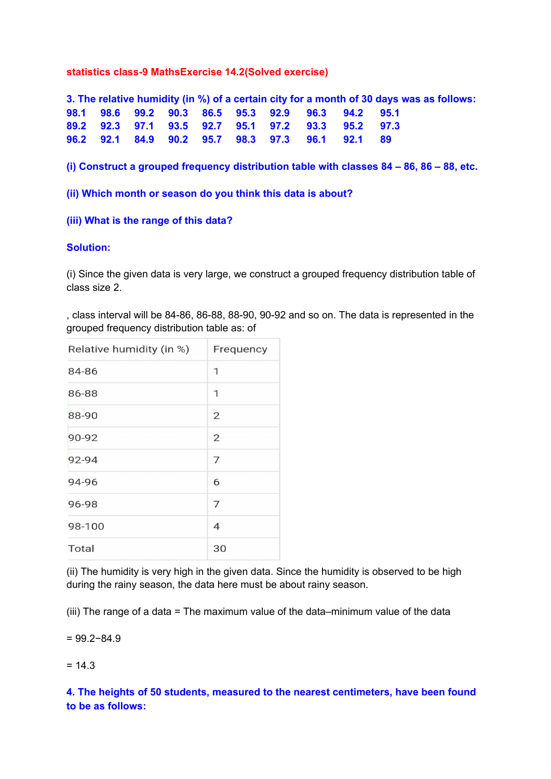## **statistics class-9 MathsExercise 14.2(Solved exercise)**

**3. The relative humidity (in %) of a certain city for a month of 30 days was as follows: 98.1 98.6 99.2 90.3 86.5 95.3 92.9 96.3 94.2 95.1 89.2 92.3 97.1 93.5 92.7 95.1 97.2 93.3 95.2 97.3 96.2 92.1 84.9 90.2 95.7 98.3 97.3 96.1 92.1 89**

**(i) Construct a grouped frequency distribution table with classes 84 – 86, 86 – 88, etc.**

**(ii) Which month or season do you think this data is about?**

### **(iii) What is the range of this data?**

#### **Solution:**

(i) Since the given data is very large, we construct a grouped frequency distribution table of class size 2.

, class interval will be 84-86, 86-88, 88-90, 90-92 and so on. The data is represented in the grouped frequency distribution table as: of

| Relative humidity (in %) | Frequency      |
|--------------------------|----------------|
| 84-86                    | 1              |
| 86-88                    | 1              |
| 88-90                    | $\overline{2}$ |
| 90-92                    | $\overline{2}$ |
| 92-94                    | 7              |
| 94-96                    | 6              |
| 96-98                    | 7              |
| 98-100                   | $\overline{4}$ |
| Total                    | 30             |

(ii) The humidity is very high in the given data. Since the humidity is observed to be high during the rainy season, the data here must be about rainy season.

(iii) The range of a data = The maximum value of the data–minimum value of the data

= 99.2−84.9

 $= 14.3$ 

**4. The heights of 50 students, measured to the nearest centimeters, have been found to be as follows:**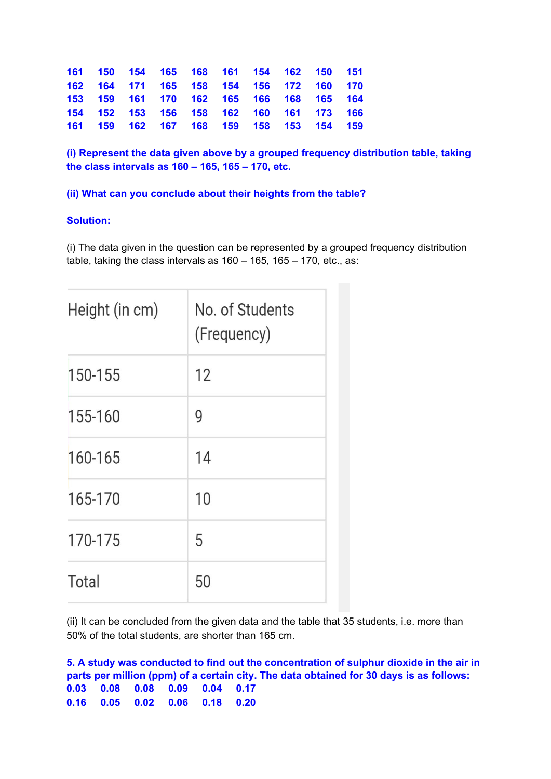| 161 150 154 165 168 161 154 162 150 151 |  |  |  |  |
|-----------------------------------------|--|--|--|--|
| 162 164 171 165 158 154 156 172 160 170 |  |  |  |  |
| 153 159 161 170 162 165 166 168 165 164 |  |  |  |  |
| 154 152 153 156 158 162 160 161 173 166 |  |  |  |  |
| 161 159 162 167 168 159 158 153 154 159 |  |  |  |  |

**(i) Represent the data given above by a grouped frequency distribution table, taking the class intervals as 160 – 165, 165 – 170, etc.**

**(ii) What can you conclude about their heights from the table?**

# **Solution:**

(i) The data given in the question can be represented by a grouped frequency distribution table, taking the class intervals as 160 – 165, 165 – 170, etc., as:

| Height (in cm) | No. of Students<br>(Frequency) |
|----------------|--------------------------------|
| 150-155        | 12                             |
| 155-160        | 9                              |
| 160-165        | 14                             |
| 165-170        | 10                             |
| 170-175        | 5                              |
| Total          | 50                             |

(ii) It can be concluded from the given data and the table that 35 students, i.e. more than 50% of the total students, are shorter than 165 cm.

**5. A study was conducted to find out the concentration of sulphur dioxide in the air in parts per million (ppm) of a certain city. The data obtained for 30 days is as follows: 0.03 0.08 0.08 0.09 0.04 0.17 0.16 0.05 0.02 0.06 0.18 0.20**